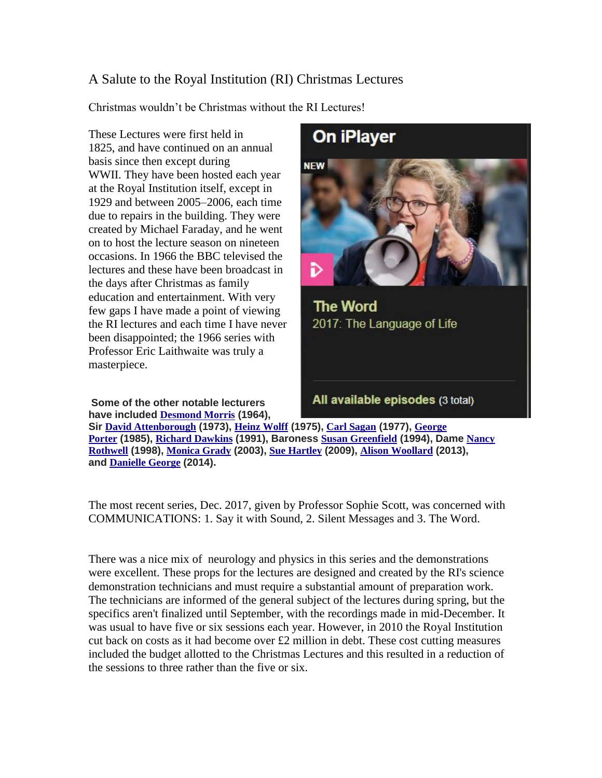## A Salute to the Royal Institution (RI) Christmas Lectures

Christmas wouldn't be Christmas without the RI Lectures!

These Lectures were first held in 1825, and have continued on an annual basis since then except during WWII. They have been hosted each year at the Royal Institution itself, except in 1929 and between 2005–2006, each time due to repairs in the building. They were created by [Michael Faraday,](https://en.wikipedia.org/wiki/Michael_Faraday) and he went on to host the lecture season on nineteen occasions. In 1966 the BBC televised the lectures and these have been broadcast in the days after Christmas as family education and entertainment. With very few gaps I have made a point of viewing the RI lectures and each time I have never been disappointed; the 1966 series with Professor Eric Laithwaite was truly a masterpiece.

**Some of the other notable lecturers have included [Desmond Morris](https://en.wikipedia.org/wiki/Desmond_Morris) (1964),** 



**Sir [David Attenborough](https://en.wikipedia.org/wiki/David_Attenborough) (1973), [Heinz Wolff](https://en.wikipedia.org/wiki/Heinz_Wolff) (1975), [Carl Sagan](https://en.wikipedia.org/wiki/Carl_Sagan) (1977), [George](https://en.wikipedia.org/wiki/George_Porter)  [Porter](https://en.wikipedia.org/wiki/George_Porter) (1985), [Richard Dawkins](https://en.wikipedia.org/wiki/Richard_Dawkins) (1991), Baroness [Susan Greenfield](https://en.wikipedia.org/wiki/Susan_Greenfield) (1994), Dame [Nancy](https://en.wikipedia.org/wiki/Nancy_Rothwell)  [Rothwell](https://en.wikipedia.org/wiki/Nancy_Rothwell) (1998), [Monica Grady](https://en.wikipedia.org/wiki/Monica_Grady) (2003), [Sue Hartley](https://en.wikipedia.org/wiki/Sue_Hartley) (2009), [Alison Woollard](https://en.wikipedia.org/wiki/Alison_Woollard) (2013), and [Danielle George](https://en.wikipedia.org/wiki/Danielle_George) (2014).**

The most recent series, Dec. 2017, given by Professor Sophie Scott, was concerned with COMMUNICATIONS: 1. Say it with Sound, 2. Silent Messages and 3. The Word.

There was a nice mix of neurology and physics in this series and the demonstrations were excellent. These props for the lectures are designed and created by the RI's science demonstration technicians and must require a substantial amount of preparation work. The technicians are informed of the general subject of the lectures during spring, but the specifics aren't finalized until September, with the recordings made in mid-December. It was usual to have five or six sessions each year. However, in 2010 the Royal Institution cut back on costs as it had become over  $£2$  million in debt. These cost cutting measures included the budget allotted to the Christmas Lectures and this resulted in a reduction of the sessions to three rather than the five or six.